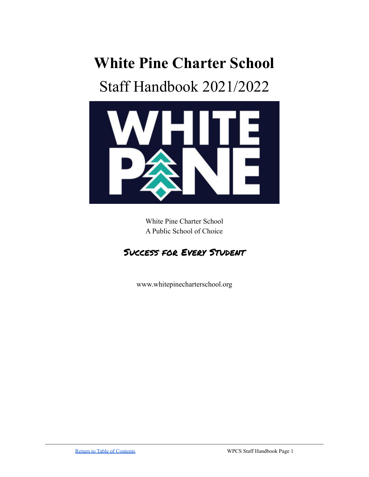# **White Pine Charter School**

# Staff Handbook 2021/2022



White Pine Charter School A Public School of Choice

# Success for Every Student

www.whitepinecharterschool.org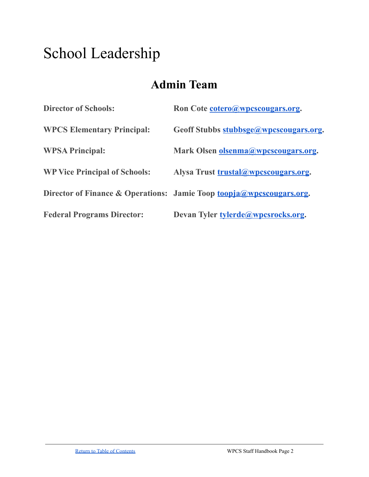# School Leadership

# **Admin Team**

| <b>Director of Schools:</b>          | Ron Cote cotero@wpcscougars.org.                                     |
|--------------------------------------|----------------------------------------------------------------------|
| <b>WPCS Elementary Principal:</b>    | Geoff Stubbs stubbsge@wpcscougars.org.                               |
| <b>WPSA Principal:</b>               | Mark Olsen olsenma@wpcscougars.org.                                  |
| <b>WP Vice Principal of Schools:</b> | Alysa Trust trustal@wpcscougars.org.                                 |
|                                      | Director of Finance & Operations: Jamie Toop toopja@wpcscougars.org. |
| <b>Federal Programs Director:</b>    | Devan Tyler tylerde@wpcsrocks.org.                                   |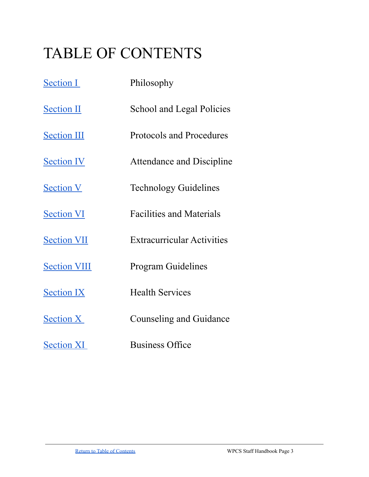# <span id="page-2-0"></span>TABLE OF CONTENTS

| <b>Section I</b>    | Philosophy                        |
|---------------------|-----------------------------------|
| <b>Section II</b>   | <b>School and Legal Policies</b>  |
| <b>Section III</b>  | <b>Protocols and Procedures</b>   |
| <b>Section IV</b>   | <b>Attendance and Discipline</b>  |
| <b>Section V</b>    | <b>Technology Guidelines</b>      |
| <b>Section VI</b>   | <b>Facilities and Materials</b>   |
| <b>Section VII</b>  | <b>Extracurricular Activities</b> |
| <b>Section VIII</b> | <b>Program Guidelines</b>         |
| <b>Section IX</b>   | <b>Health Services</b>            |
| <b>Section X</b>    | Counseling and Guidance           |
| <b>Section XI</b>   | <b>Business Office</b>            |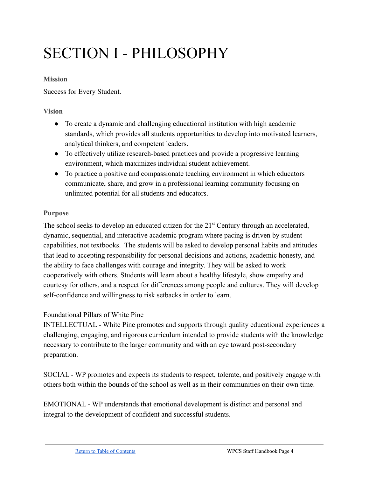# <span id="page-3-0"></span>SECTION I - PHILOSOPHY

#### **Mission**

Success for Every Student.

### **Vision**

- To create a dynamic and challenging educational institution with high academic standards, which provides all students opportunities to develop into motivated learners, analytical thinkers, and competent leaders.
- To effectively utilize research-based practices and provide a progressive learning environment, which maximizes individual student achievement.
- To practice a positive and compassionate teaching environment in which educators communicate, share, and grow in a professional learning community focusing on unlimited potential for all students and educators.

# **Purpose**

The school seeks to develop an educated citizen for the  $21<sup>st</sup>$  Century through an accelerated, dynamic, sequential, and interactive academic program where pacing is driven by student capabilities, not textbooks. The students will be asked to develop personal habits and attitudes that lead to accepting responsibility for personal decisions and actions, academic honesty, and the ability to face challenges with courage and integrity. They will be asked to work cooperatively with others. Students will learn about a healthy lifestyle, show empathy and courtesy for others, and a respect for differences among people and cultures. They will develop self-confidence and willingness to risk setbacks in order to learn.

# Foundational Pillars of White Pine

INTELLECTUAL - White Pine promotes and supports through quality educational experiences a challenging, engaging, and rigorous curriculum intended to provide students with the knowledge necessary to contribute to the larger community and with an eye toward post-secondary preparation.

SOCIAL - WP promotes and expects its students to respect, tolerate, and positively engage with others both within the bounds of the school as well as in their communities on their own time.

EMOTIONAL - WP understands that emotional development is distinct and personal and integral to the development of confident and successful students.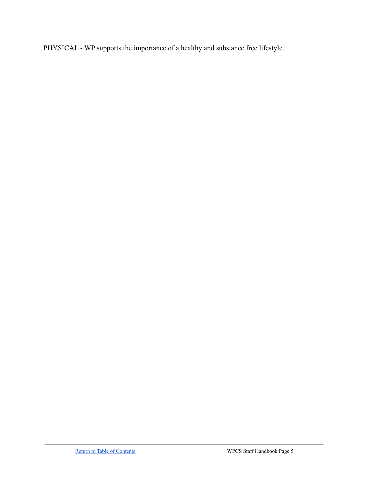PHYSICAL - WP supports the importance of a healthy and substance free lifestyle.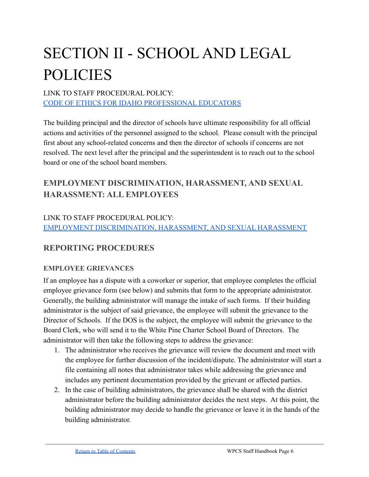# <span id="page-5-0"></span>SECTION II - SCHOOL AND LEGAL POLICIES

# LINK TO STAFF PROCEDURAL POLICY: [CODE OF ETHICS FOR IDAHO PROFESSIONAL EDUCATORS](https://www.sde.idaho.gov/cert-psc/shared/ethics/Code-of-Ethics-for-Professional-Educators.pdf)

The building principal and the director of schools have ultimate responsibility for all official actions and activities of the personnel assigned to the school. Please consult with the principal first about any school-related concerns and then the director of schools if concerns are not resolved. The next level after the principal and the superintendent is to reach out to the school board or one of the school board members.

# **EMPLOYMENT DISCRIMINATION, HARASSMENT, AND SEXUAL HARASSMENT: ALL EMPLOYEES**

# LINK TO STAFF PROCEDURAL POLICY: [EMPLOYMENT DISCRIMINATION, HARASSMENT, AND SEXUAL HARASSMENT](https://docs.google.com/document/d/1EDbwH88B3MBK0XjFGxwdJ6iIGb4GVedht--xY9OcHQo/edit#)

# **REPORTING PROCEDURES**

# **EMPLOYEE GRIEVANCES**

If an employee has a dispute with a coworker or superior, that employee completes the official employee grievance form (see below) and submits that form to the appropriate administrator. Generally, the building administrator will manage the intake of such forms. If their building administrator is the subject of said grievance, the employee will submit the grievance to the Director of Schools. If the DOS is the subject, the employee will submit the grievance to the Board Clerk, who will send it to the White Pine Charter School Board of Directors. The administrator will then take the following steps to address the grievance:

- 1. The administrator who receives the grievance will review the document and meet with the employee for further discussion of the incident/dispute. The administrator will start a file containing all notes that administrator takes while addressing the grievance and includes any pertinent documentation provided by the grievant or affected parties.
- 2. In the case of building administrators, the grievance shall be shared with the district administrator before the building administrator decides the next steps. At this point, the building administrator may decide to handle the grievance or leave it in the hands of the building administrator.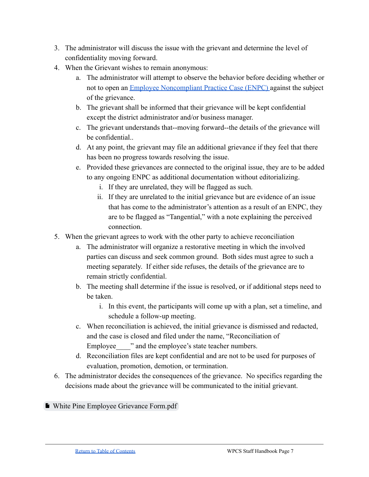- 3. The administrator will discuss the issue with the grievant and determine the level of confidentiality moving forward.
- 4. When the Grievant wishes to remain anonymous:
	- a. The administrator will attempt to observe the behavior before deciding whether or not to open an [Employee Noncompliant Practice Case](#page-20-0) (ENPC) against the subject of the grievance.
	- b. The grievant shall be informed that their grievance will be kept confidential except the district administrator and/or business manager.
	- c. The grievant understands that--moving forward--the details of the grievance will be confidential..
	- d. At any point, the grievant may file an additional grievance if they feel that there has been no progress towards resolving the issue.
	- e. Provided these grievances are connected to the original issue, they are to be added to any ongoing ENPC as additional documentation without editorializing.
		- i. If they are unrelated, they will be flagged as such.
		- ii. If they are unrelated to the initial grievance but are evidence of an issue that has come to the administrator's attention as a result of an ENPC, they are to be flagged as "Tangential," with a note explaining the perceived connection.
- 5. When the grievant agrees to work with the other party to achieve reconciliation
	- a. The administrator will organize a restorative meeting in which the involved parties can discuss and seek common ground. Both sides must agree to such a meeting separately. If either side refuses, the details of the grievance are to remain strictly confidential.
	- b. The meeting shall determine if the issue is resolved, or if additional steps need to be taken.
		- i. In this event, the participants will come up with a plan, set a timeline, and schedule a follow-up meeting.
	- c. When reconciliation is achieved, the initial grievance is dismissed and redacted, and the case is closed and filed under the name, "Reconciliation of Employee  $\blacksquare$  " and the employee's state teacher numbers.
	- d. Reconciliation files are kept confidential and are not to be used for purposes of evaluation, promotion, demotion, or termination.
- 6. The administrator decides the consequences of the grievance. No specifics regarding the decisions made about the grievance will be communicated to the initial grievant.

■ [White Pine Employee Grievance Form.pdf](https://drive.google.com/file/d/1pId2fz6ISEofFbTCPlMM5wsqFB-B1Z_t/view?usp=sharing)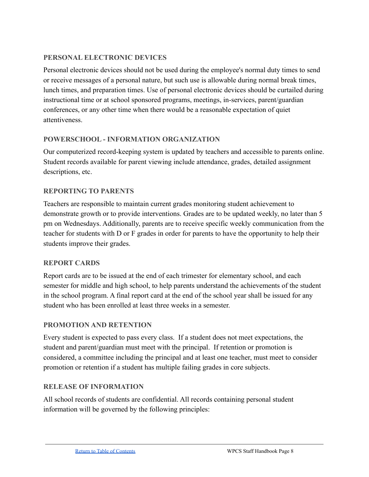### **PERSONAL ELECTRONIC DEVICES**

Personal electronic devices should not be used during the employee's normal duty times to send or receive messages of a personal nature, but such use is allowable during normal break times, lunch times, and preparation times. Use of personal electronic devices should be curtailed during instructional time or at school sponsored programs, meetings, in-services, parent/guardian conferences, or any other time when there would be a reasonable expectation of quiet attentiveness.

#### **POWERSCHOOL - INFORMATION ORGANIZATION**

Our computerized record-keeping system is updated by teachers and accessible to parents online. Student records available for parent viewing include attendance, grades, detailed assignment descriptions, etc.

#### **REPORTING TO PARENTS**

Teachers are responsible to maintain current grades monitoring student achievement to demonstrate growth or to provide interventions. Grades are to be updated weekly, no later than 5 pm on Wednesdays. Additionally, parents are to receive specific weekly communication from the teacher for students with D or F grades in order for parents to have the opportunity to help their students improve their grades.

# **REPORT CARDS**

Report cards are to be issued at the end of each trimester for elementary school, and each semester for middle and high school, to help parents understand the achievements of the student in the school program. A final report card at the end of the school year shall be issued for any student who has been enrolled at least three weeks in a semester.

# **PROMOTION AND RETENTION**

Every student is expected to pass every class. If a student does not meet expectations, the student and parent/guardian must meet with the principal. If retention or promotion is considered, a committee including the principal and at least one teacher, must meet to consider promotion or retention if a student has multiple failing grades in core subjects.

#### **RELEASE OF INFORMATION**

All school records of students are confidential. All records containing personal student information will be governed by the following principles: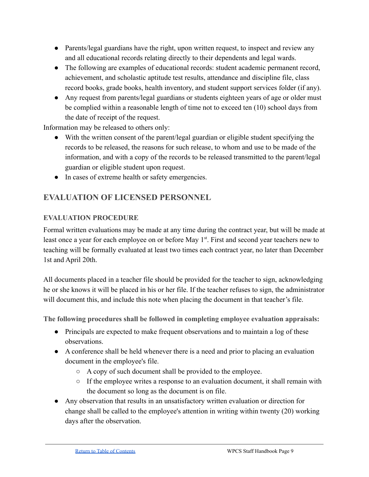- Parents/legal guardians have the right, upon written request, to inspect and review any and all educational records relating directly to their dependents and legal wards.
- The following are examples of educational records: student academic permanent record, achievement, and scholastic aptitude test results, attendance and discipline file, class record books, grade books, health inventory, and student support services folder (if any).
- Any request from parents/legal guardians or students eighteen years of age or older must be complied within a reasonable length of time not to exceed ten (10) school days from the date of receipt of the request.

Information may be released to others only:

- With the written consent of the parent/legal guardian or eligible student specifying the records to be released, the reasons for such release, to whom and use to be made of the information, and with a copy of the records to be released transmitted to the parent/legal guardian or eligible student upon request.
- In cases of extreme health or safety emergencies.

# **EVALUATION OF LICENSED PERSONNEL**

# **EVALUATION PROCEDURE**

Formal written evaluations may be made at any time during the contract year, but will be made at least once a year for each employee on or before May 1<sup>st</sup>. First and second year teachers new to teaching will be formally evaluated at least two times each contract year, no later than December 1st and April 20th.

All documents placed in a teacher file should be provided for the teacher to sign, acknowledging he or she knows it will be placed in his or her file. If the teacher refuses to sign, the administrator will document this, and include this note when placing the document in that teacher's file.

**The following procedures shall be followed in completing employee evaluation appraisals:**

- Principals are expected to make frequent observations and to maintain a log of these observations.
- A conference shall be held whenever there is a need and prior to placing an evaluation document in the employee's file.
	- A copy of such document shall be provided to the employee.
	- $\circ$  If the employee writes a response to an evaluation document, it shall remain with the document so long as the document is on file.
- Any observation that results in an unsatisfactory written evaluation or direction for change shall be called to the employee's attention in writing within twenty (20) working days after the observation.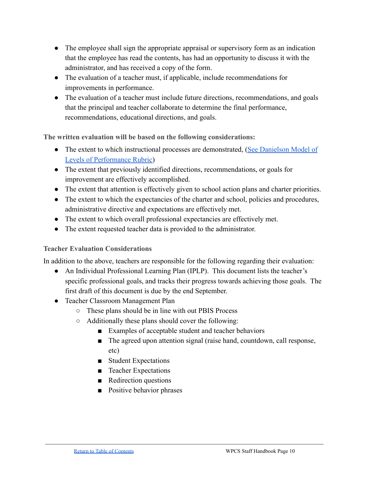- The employee shall sign the appropriate appraisal or supervisory form as an indication that the employee has read the contents, has had an opportunity to discuss it with the administrator, and has received a copy of the form.
- The evaluation of a teacher must, if applicable, include recommendations for improvements in performance.
- The evaluation of a teacher must include future directions, recommendations, and goals that the principal and teacher collaborate to determine the final performance, recommendations, educational directions, and goals.

**The written evaluation will be based on the following considerations:**

- The extent to which instructional processes are demonstrated, ([See Danielson Model of](https://drive.google.com/drive/folders/1BvdKANoxBR8Y2ayzxtBUFau21I1NyfJu?usp=sharing) [Levels of Performance Rubric\)](https://drive.google.com/drive/folders/1BvdKANoxBR8Y2ayzxtBUFau21I1NyfJu?usp=sharing)
- The extent that previously identified directions, recommendations, or goals for improvement are effectively accomplished.
- The extent that attention is effectively given to school action plans and charter priorities.
- The extent to which the expectancies of the charter and school, policies and procedures, administrative directive and expectations are effectively met.
- The extent to which overall professional expectancies are effectively met.
- The extent requested teacher data is provided to the administrator.

# **Teacher Evaluation Considerations**

In addition to the above, teachers are responsible for the following regarding their evaluation:

- An Individual Professional Learning Plan (IPLP). This document lists the teacher's specific professional goals, and tracks their progress towards achieving those goals. The first draft of this document is due by the end September.
- Teacher Classroom Management Plan
	- These plans should be in line with out PBIS Process
	- Additionally these plans should cover the following:
		- Examples of acceptable student and teacher behaviors
		- The agreed upon attention signal (raise hand, countdown, call response, etc)
		- Student Expectations
		- Teacher Expectations
		- Redirection questions
		- Positive behavior phrases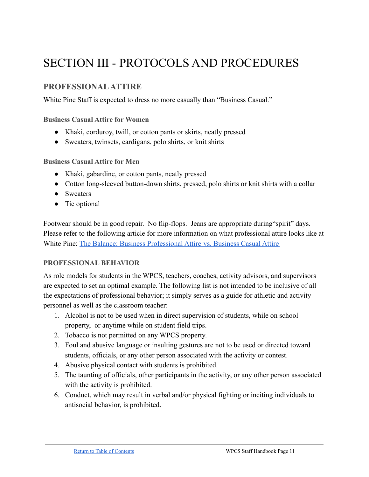# <span id="page-10-0"></span>SECTION III - PROTOCOLS AND PROCEDURES

# **PROFESSIONALATTIRE**

White Pine Staff is expected to dress no more casually than "Business Casual."

**Business Casual Attire for Women**

- Khaki, corduroy, twill, or cotton pants or skirts, neatly pressed
- Sweaters, twinsets, cardigans, polo shirts, or knit shirts

**Business Casual Attire for Men**

- Khaki, gabardine, or cotton pants, neatly pressed
- Cotton long-sleeved button-down shirts, pressed, polo shirts or knit shirts with a collar
- Sweaters
- Tie optional

Footwear should be in good repair. No flip-flops. Jeans are appropriate during "spirit" days. Please refer to the following article for more information on what professional attire looks like at White Pine: [The Balance: Business Professional Attire](https://www.thebalancecareers.com/business-casual-attire-2061335) vs. Business Casual Attire

#### **PROFESSIONAL BEHAVIOR**

As role models for students in the WPCS, teachers, coaches, activity advisors, and supervisors are expected to set an optimal example. The following list is not intended to be inclusive of all the expectations of professional behavior; it simply serves as a guide for athletic and activity personnel as well as the classroom teacher:

- 1. Alcohol is not to be used when in direct supervision of students, while on school property, or anytime while on student field trips.
- 2. Tobacco is not permitted on any WPCS property.
- 3. Foul and abusive language or insulting gestures are not to be used or directed toward students, officials, or any other person associated with the activity or contest.
- 4. Abusive physical contact with students is prohibited.
- 5. The taunting of officials, other participants in the activity, or any other person associated with the activity is prohibited.
- 6. Conduct, which may result in verbal and/or physical fighting or inciting individuals to antisocial behavior, is prohibited.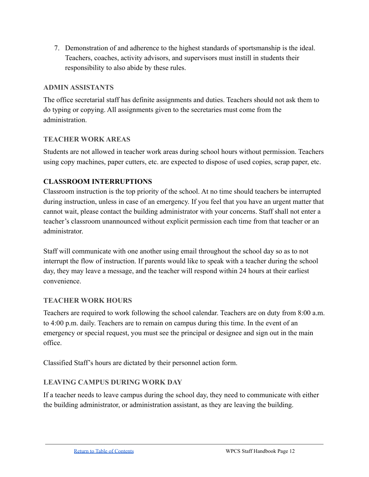7. Demonstration of and adherence to the highest standards of sportsmanship is the ideal. Teachers, coaches, activity advisors, and supervisors must instill in students their responsibility to also abide by these rules.

# **ADMIN ASSISTANTS**

The office secretarial staff has definite assignments and duties. Teachers should not ask them to do typing or copying. All assignments given to the secretaries must come from the administration.

# **TEACHER WORK AREAS**

Students are not allowed in teacher work areas during school hours without permission. Teachers using copy machines, paper cutters, etc. are expected to dispose of used copies, scrap paper, etc.

# **CLASSROOM INTERRUPTIONS**

Classroom instruction is the top priority of the school. At no time should teachers be interrupted during instruction, unless in case of an emergency. If you feel that you have an urgent matter that cannot wait, please contact the building administrator with your concerns. Staff shall not enter a teacher's classroom unannounced without explicit permission each time from that teacher or an administrator.

Staff will communicate with one another using email throughout the school day so as to not interrupt the flow of instruction. If parents would like to speak with a teacher during the school day, they may leave a message, and the teacher will respond within 24 hours at their earliest convenience.

# **TEACHER WORK HOURS**

Teachers are required to work following the school calendar. Teachers are on duty from 8:00 a.m. to 4:00 p.m. daily. Teachers are to remain on campus during this time. In the event of an emergency or special request, you must see the principal or designee and sign out in the main office.

Classified Staff's hours are dictated by their personnel action form.

# **LEAVING CAMPUS DURING WORK DAY**

If a teacher needs to leave campus during the school day, they need to communicate with either the building administrator, or administration assistant, as they are leaving the building.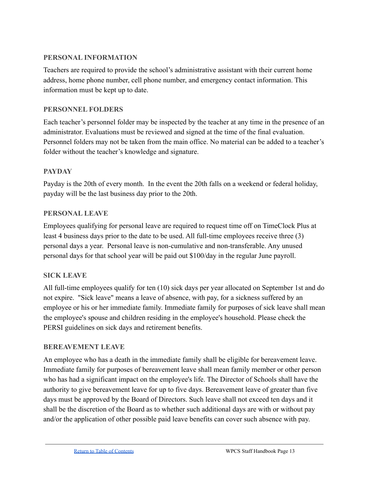#### **PERSONAL INFORMATION**

Teachers are required to provide the school's administrative assistant with their current home address, home phone number, cell phone number, and emergency contact information. This information must be kept up to date.

### **PERSONNEL FOLDERS**

Each teacher's personnel folder may be inspected by the teacher at any time in the presence of an administrator. Evaluations must be reviewed and signed at the time of the final evaluation. Personnel folders may not be taken from the main office. No material can be added to a teacher's folder without the teacher's knowledge and signature.

#### **PAYDAY**

Payday is the 20th of every month. In the event the 20th falls on a weekend or federal holiday, payday will be the last business day prior to the 20th.

#### **PERSONAL LEAVE**

Employees qualifying for personal leave are required to request time off on TimeClock Plus at least 4 business days prior to the date to be used. All full-time employees receive three (3) personal days a year. Personal leave is non-cumulative and non-transferable. Any unused personal days for that school year will be paid out \$100/day in the regular June payroll.

# **SICK LEAVE**

All full-time employees qualify for ten (10) sick days per year allocated on September 1st and do not expire. "Sick leave" means a leave of absence, with pay, for a sickness suffered by an employee or his or her immediate family. Immediate family for purposes of sick leave shall mean the employee's spouse and children residing in the employee's household. Please check the PERSI guidelines on sick days and retirement benefits.

#### **BEREAVEMENT LEAVE**

An employee who has a death in the immediate family shall be eligible for bereavement leave. Immediate family for purposes of bereavement leave shall mean family member or other person who has had a significant impact on the employee's life. The Director of Schools shall have the authority to give bereavement leave for up to five days. Bereavement leave of greater than five days must be approved by the Board of Directors. Such leave shall not exceed ten days and it shall be the discretion of the Board as to whether such additional days are with or without pay and/or the application of other possible paid leave benefits can cover such absence with pay.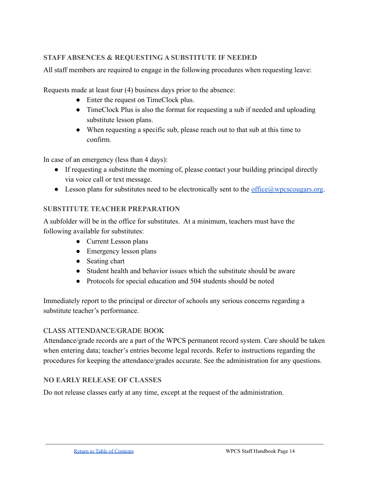# **STAFF ABSENCES & REQUESTING A SUBSTITUTE IF NEEDED**

All staff members are required to engage in the following procedures when requesting leave:

Requests made at least four (4) business days prior to the absence:

- Enter the request on TimeClock plus.
- TimeClock Plus is also the format for requesting a sub if needed and uploading substitute lesson plans.
- When requesting a specific sub, please reach out to that sub at this time to confirm.

In case of an emergency (less than 4 days):

- If requesting a substitute the morning of, please contact your building principal directly via voice call or text message.
- $\bullet$  Lesson plans for substitutes need to be electronically sent to the office  $@w$  proxess cougars.

#### **SUBSTITUTE TEACHER PREPARATION**

A subfolder will be in the office for substitutes. At a minimum, teachers must have the following available for substitutes:

- Current Lesson plans
- Emergency lesson plans
- Seating chart
- Student health and behavior issues which the substitute should be aware
- Protocols for special education and 504 students should be noted

Immediately report to the principal or director of schools any serious concerns regarding a substitute teacher's performance.

#### CLASS ATTENDANCE/GRADE BOOK

Attendance/grade records are a part of the WPCS permanent record system. Care should be taken when entering data; teacher's entries become legal records. Refer to instructions regarding the procedures for keeping the attendance/grades accurate. See the administration for any questions.

#### **NO EARLY RELEASE OF CLASSES**

Do not release classes early at any time, except at the request of the administration.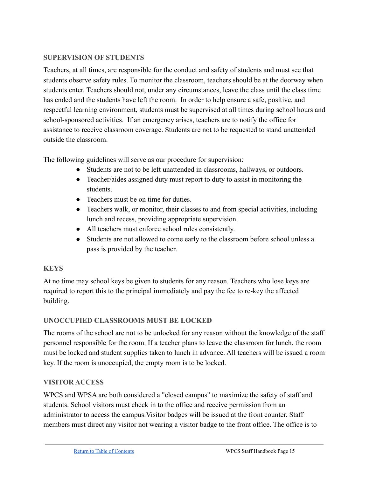### **SUPERVISION OF STUDENTS**

Teachers, at all times, are responsible for the conduct and safety of students and must see that students observe safety rules. To monitor the classroom, teachers should be at the doorway when students enter. Teachers should not, under any circumstances, leave the class until the class time has ended and the students have left the room. In order to help ensure a safe, positive, and respectful learning environment, students must be supervised at all times during school hours and school-sponsored activities. If an emergency arises, teachers are to notify the office for assistance to receive classroom coverage. Students are not to be requested to stand unattended outside the classroom.

The following guidelines will serve as our procedure for supervision:

- Students are not to be left unattended in classrooms, hallways, or outdoors.
- Teacher/aides assigned duty must report to duty to assist in monitoring the students.
- Teachers must be on time for duties.
- Teachers walk, or monitor, their classes to and from special activities, including lunch and recess, providing appropriate supervision.
- All teachers must enforce school rules consistently.
- Students are not allowed to come early to the classroom before school unless a pass is provided by the teacher.

# <span id="page-14-0"></span>**KEYS**

At no time may school keys be given to students for any reason. Teachers who lose keys are required to report this to the principal immediately and pay the fee to re-key the affected building.

# **UNOCCUPIED CLASSROOMS MUST BE LOCKED**

The rooms of the school are not to be unlocked for any reason without the knowledge of the staff personnel responsible for the room. If a teacher plans to leave the classroom for lunch, the room must be locked and student supplies taken to lunch in advance. All teachers will be issued a room key. If the room is unoccupied, the empty room is to be locked.

# **VISITOR ACCESS**

WPCS and WPSA are both considered a "closed campus" to maximize the safety of staff and students. School visitors must check in to the office and receive permission from an administrator to access the campus.Visitor badges will be issued at the front counter. Staff members must direct any visitor not wearing a visitor badge to the front office. The office is to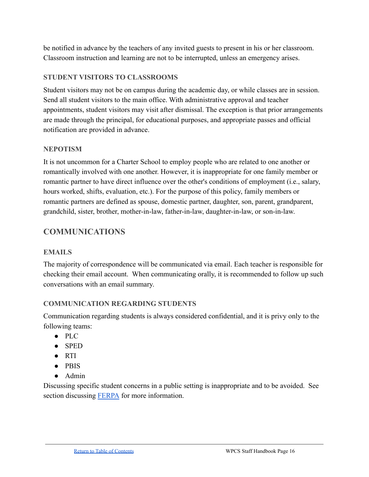be notified in advance by the teachers of any invited guests to present in his or her classroom. Classroom instruction and learning are not to be interrupted, unless an emergency arises.

# **STUDENT VISITORS TO CLASSROOMS**

Student visitors may not be on campus during the academic day, or while classes are in session. Send all student visitors to the main office. With administrative approval and teacher appointments, student visitors may visit after dismissal. The exception is that prior arrangements are made through the principal, for educational purposes, and appropriate passes and official notification are provided in advance.

#### **NEPOTISM**

It is not uncommon for a Charter School to employ people who are related to one another or romantically involved with one another. However, it is inappropriate for one family member or romantic partner to have direct influence over the other's conditions of employment (i.e., salary, hours worked, shifts, evaluation, etc.). For the purpose of this policy, family members or romantic partners are defined as spouse, domestic partner, daughter, son, parent, grandparent, grandchild, sister, brother, mother-in-law, father-in-law, daughter-in-law, or son-in-law.

# **COMMUNICATIONS**

#### **EMAILS**

The majority of correspondence will be communicated via email. Each teacher is responsible for checking their email account. When communicating orally, it is recommended to follow up such conversations with an email summary.

# **COMMUNICATION REGARDING STUDENTS**

Communication regarding students is always considered confidential, and it is privy only to the following teams:

- PLC
- SPED
- RTI
- PBIS
- Admin

Discussing specific student concerns in a public setting is inappropriate and to be avoided. See section discussing [FERPA](#page-31-0) for more information.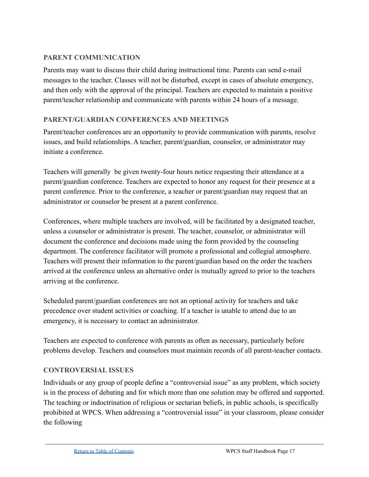# **PARENT COMMUNICATION**

Parents may want to discuss their child during instructional time. Parents can send e-mail messages to the teacher. Classes will not be disturbed, except in cases of absolute emergency, and then only with the approval of the principal. Teachers are expected to maintain a positive parent/teacher relationship and communicate with parents within 24 hours of a message.

# **PARENT/GUARDIAN CONFERENCES AND MEETINGS**

Parent/teacher conferences are an opportunity to provide communication with parents, resolve issues, and build relationships. A teacher, parent/guardian, counselor, or administrator may initiate a conference.

Teachers will generally be given twenty-four hours notice requesting their attendance at a parent/guardian conference. Teachers are expected to honor any request for their presence at a parent conference. Prior to the conference, a teacher or parent/guardian may request that an administrator or counselor be present at a parent conference.

Conferences, where multiple teachers are involved, will be facilitated by a designated teacher, unless a counselor or administrator is present. The teacher, counselor, or administrator will document the conference and decisions made using the form provided by the counseling department. The conference facilitator will promote a professional and collegial atmosphere. Teachers will present their information to the parent/guardian based on the order the teachers arrived at the conference unless an alternative order is mutually agreed to prior to the teachers arriving at the conference.

Scheduled parent/guardian conferences are not an optional activity for teachers and take precedence over student activities or coaching. If a teacher is unable to attend due to an emergency, it is necessary to contact an administrator.

Teachers are expected to conference with parents as often as necessary, particularly before problems develop. Teachers and counselors must maintain records of all parent-teacher contacts.

# **CONTROVERSIAL ISSUES**

Individuals or any group of people define a "controversial issue" as any problem, which society is in the process of debating and for which more than one solution may be offered and supported. The teaching or indoctrination of religious or sectarian beliefs, in public schools, is specifically prohibited at WPCS. When addressing a "controversial issue" in your classroom, please consider the following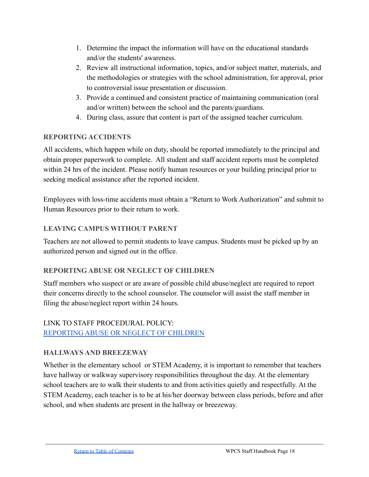- 1. Determine the impact the information will have on the educational standards and/or the students' awareness.
- 2. Review all instructional information, topics, and/or subject matter, materials, and the methodologies or strategies with the school administration, for approval, prior to controversial issue presentation or discussion.
- 3. Provide a continued and consistent practice of maintaining communication (oral and/or written) between the school and the parents/guardians.
- 4. During class, assure that content is part of the assigned teacher curriculum.

# **REPORTING ACCIDENTS**

All accidents, which happen while on duty, should be reported immediately to the principal and obtain proper paperwork to complete. All student and staff accident reports must be completed within 24 hrs of the incident. Please notify human resources or your building principal prior to seeking medical assistance after the reported incident.

Employees with loss-time accidents must obtain a "Return to Work Authorization" and submit to Human Resources prior to their return to work.

# **LEAVING CAMPUS WITHOUT PARENT**

Teachers are not allowed to permit students to leave campus. Students must be picked up by an authorized person and signed out in the office.

# **REPORTING ABUSE OR NEGLECT OF CHILDREN**

Staff members who suspect or are aware of possible child abuse/neglect are required to report their concerns directly to the school counselor. The counselor will assist the staff member in filing the abuse/neglect report within 24 hours.

# LINK TO STAFF PROCEDURAL POLICY: [REPORTING ABUSE OR NEGLECT OF CHILDREN](https://docs.google.com/document/d/1CuT0ytmLjuBwN7yUaNpSX3_1riy5GpuAoRJm06jVFAY/edit#)

# **HALLWAYS AND BREEZEWAY**

Whether in the elementary school or STEM Academy, it is important to remember that teachers have hallway or walkway supervisory responsibilities throughout the day. At the elementary school teachers are to walk their students to and from activities quietly and respectfully. At the STEM Academy, each teacher is to be at his/her doorway between class periods, before and after school, and when students are present in the hallway or breezeway.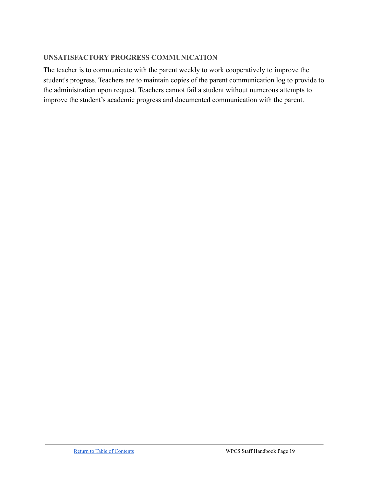#### **UNSATISFACTORY PROGRESS COMMUNICATION**

The teacher is to communicate with the parent weekly to work cooperatively to improve the student's progress. Teachers are to maintain copies of the parent communication log to provide to the administration upon request. Teachers cannot fail a student without numerous attempts to improve the student's academic progress and documented communication with the parent.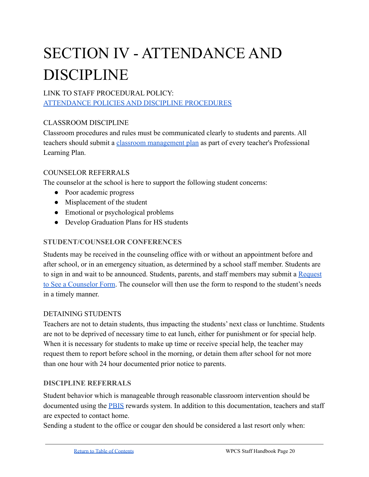# <span id="page-19-0"></span>SECTION IV - ATTENDANCE AND DISCIPLINE

# LINK TO STAFF PROCEDURAL POLICY:

[ATTENDANCE POLICIES AND DISCIPLINE PROCEDURES](https://docs.google.com/document/d/1r1cjZUZ-sak9naeCNZdiEbqTQoBHps3N_Ldsznju_DU/edit#heading=h.lgks119djtai)

# CLASSROOM DISCIPLINE

Classroom procedures and rules must be communicated clearly to students and parents. All teachers should submit a [classroom management plan](#page-14-0) as part of every teacher's Professional Learning Plan.

# COUNSELOR REFERRALS

The counselor at the school is here to support the following student concerns:

- Poor academic progress
- Misplacement of the student
- Emotional or psychological problems
- Develop Graduation Plans for HS students

### **STUDENT/COUNSELOR CONFERENCES**

Students may be received in the counseling office with or without an appointment before and after school, or in an emergency situation, as determined by a school staff member. Students are to sign in and wait to be announced. Students, parents, and staff members may submit a [Request](https://docs.google.com/forms/d/e/1FAIpQLScZuWb_jh4EECCaNKT6c1OfzSdgxkPAtbJp2wB7DM9wmY3OdA/viewform) [to See a Counselor Form](https://docs.google.com/forms/d/e/1FAIpQLScZuWb_jh4EECCaNKT6c1OfzSdgxkPAtbJp2wB7DM9wmY3OdA/viewform). The counselor will then use the form to respond to the student's needs in a timely manner.

#### DETAINING STUDENTS

Teachers are not to detain students, thus impacting the students' next class or lunchtime. Students are not to be deprived of necessary time to eat lunch, either for punishment or for special help. When it is necessary for students to make up time or receive special help, the teacher may request them to report before school in the morning, or detain them after school for not more than one hour with 24 hour documented prior notice to parents.

#### **DISCIPLINE REFERRALS**

Student behavior which is manageable through reasonable classroom intervention should be documented using the **PBIS** rewards system. In addition to this documentation, teachers and staff are expected to contact home.

Sending a student to the office or cougar den should be considered a last resort only when: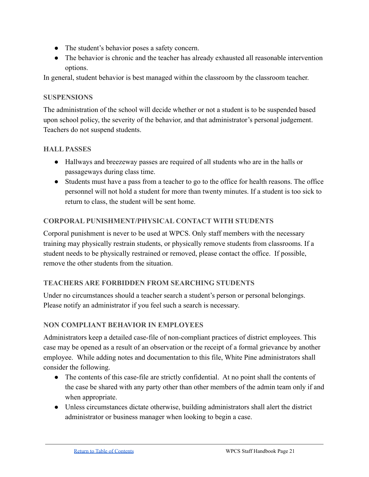- The student's behavior poses a safety concern.
- The behavior is chronic and the teacher has already exhausted all reasonable intervention options.

In general, student behavior is best managed within the classroom by the classroom teacher.

# **SUSPENSIONS**

The administration of the school will decide whether or not a student is to be suspended based upon school policy, the severity of the behavior, and that administrator's personal judgement. Teachers do not suspend students.

# **HALL PASSES**

- Hallways and breezeway passes are required of all students who are in the halls or passageways during class time.
- Students must have a pass from a teacher to go to the office for health reasons. The office personnel will not hold a student for more than twenty minutes. If a student is too sick to return to class, the student will be sent home.

# **CORPORAL PUNISHMENT/PHYSICAL CONTACT WITH STUDENTS**

Corporal punishment is never to be used at WPCS. Only staff members with the necessary training may physically restrain students, or physically remove students from classrooms. If a student needs to be physically restrained or removed, please contact the office. If possible, remove the other students from the situation.

# **TEACHERS ARE FORBIDDEN FROM SEARCHING STUDENTS**

Under no circumstances should a teacher search a student's person or personal belongings. Please notify an administrator if you feel such a search is necessary.

# <span id="page-20-0"></span>**NON COMPLIANT BEHAVIOR IN EMPLOYEES**

Administrators keep a detailed case-file of non-compliant practices of district employees. This case may be opened as a result of an observation or the receipt of a formal grievance by another employee. While adding notes and documentation to this file, White Pine administrators shall consider the following.

- The contents of this case-file are strictly confidential. At no point shall the contents of the case be shared with any party other than other members of the admin team only if and when appropriate.
- Unless circumstances dictate otherwise, building administrators shall alert the district administrator or business manager when looking to begin a case.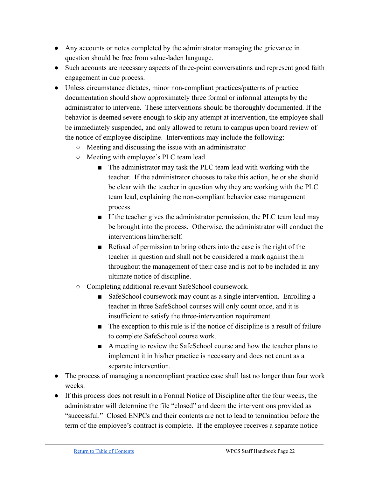- Any accounts or notes completed by the administrator managing the grievance in question should be free from value-laden language.
- Such accounts are necessary aspects of three-point conversations and represent good faith engagement in due process.
- Unless circumstance dictates, minor non-compliant practices/patterns of practice documentation should show approximately three formal or informal attempts by the administrator to intervene. These interventions should be thoroughly documented. If the behavior is deemed severe enough to skip any attempt at intervention, the employee shall be immediately suspended, and only allowed to return to campus upon board review of the notice of employee discipline. Interventions may include the following:
	- Meeting and discussing the issue with an administrator
	- Meeting with employee's PLC team lead
		- The administrator may task the PLC team lead with working with the teacher. If the administrator chooses to take this action, he or she should be clear with the teacher in question why they are working with the PLC team lead, explaining the non-compliant behavior case management process.
		- If the teacher gives the administrator permission, the PLC team lead may be brought into the process. Otherwise, the administrator will conduct the interventions him/herself.
		- Refusal of permission to bring others into the case is the right of the teacher in question and shall not be considered a mark against them throughout the management of their case and is not to be included in any ultimate notice of discipline.
	- Completing additional relevant SafeSchool coursework.
		- SafeSchool coursework may count as a single intervention. Enrolling a teacher in three SafeSchool courses will only count once, and it is insufficient to satisfy the three-intervention requirement.
		- The exception to this rule is if the notice of discipline is a result of failure to complete SafeSchool course work.
		- A meeting to review the SafeSchool course and how the teacher plans to implement it in his/her practice is necessary and does not count as a separate intervention.
- The process of managing a noncompliant practice case shall last no longer than four work weeks.
- If this process does not result in a Formal Notice of Discipline after the four weeks, the administrator will determine the file "closed" and deem the interventions provided as "successful." Closed ENPCs and their contents are not to lead to termination before the term of the employee's contract is complete. If the employee receives a separate notice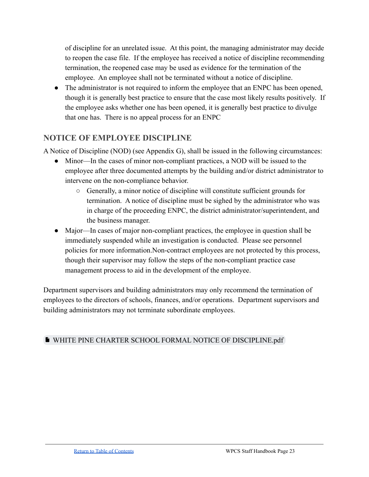of discipline for an unrelated issue. At this point, the managing administrator may decide to reopen the case file. If the employee has received a notice of discipline recommending termination, the reopened case may be used as evidence for the termination of the employee. An employee shall not be terminated without a notice of discipline.

• The administrator is not required to inform the employee that an ENPC has been opened, though it is generally best practice to ensure that the case most likely results positively. If the employee asks whether one has been opened, it is generally best practice to divulge that one has. There is no appeal process for an ENPC

# **NOTICE OF EMPLOYEE DISCIPLINE**

A Notice of Discipline (NOD) (see Appendix G), shall be issued in the following circumstances:

- Minor—In the cases of minor non-compliant practices, a NOD will be issued to the employee after three documented attempts by the building and/or district administrator to intervene on the non-compliance behavior.
	- Generally, a minor notice of discipline will constitute sufficient grounds for termination. A notice of discipline must be sighed by the administrator who was in charge of the proceeding ENPC, the district administrator/superintendent, and the business manager.
- Major—In cases of major non-compliant practices, the employee in question shall be immediately suspended while an investigation is conducted. Please see personnel policies for more information.Non-contract employees are not protected by this process, though their supervisor may follow the steps of the non-compliant practice case management process to aid in the development of the employee.

Department supervisors and building administrators may only recommend the termination of employees to the directors of schools, finances, and/or operations. Department supervisors and building administrators may not terminate subordinate employees.

# [WHITE PINE CHARTER SCHOOL FORMAL NOTICE OF DISCIPLINE.pdf](https://drive.google.com/file/d/1z7dFPyWNE5Nu6CVbhxb0WVng9xJy8Xcf/view?usp=sharing)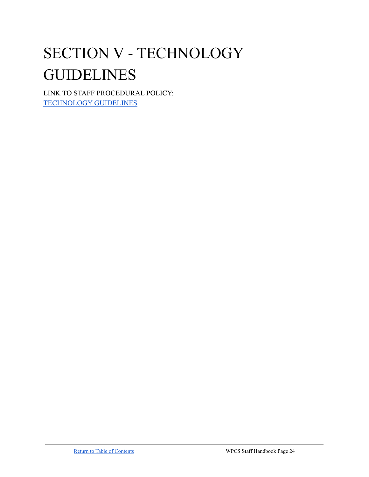# <span id="page-23-0"></span>SECTION V - TECHNOLOGY GUIDELINES

LINK TO STAFF PROCEDURAL POLICY: [TECHNOLOGY GUIDELINES](https://docs.google.com/document/d/1TJEBisQmWgRLYZiSjZK0RgADysNgPDl0UGHb7O1wyBs/edit#heading=h.m4kwhii71swb)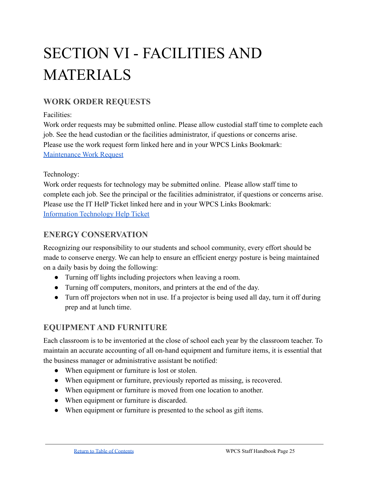# <span id="page-24-0"></span>SECTION VI - FACILITIES AND MATERIALS

# **WORK ORDER REQUESTS**

# Facilities:

Work order requests may be submitted online. Please allow custodial staff time to complete each job. See the head custodian or the facilities administrator, if questions or concerns arise. Please use the work request form linked here and in your WPCS Links Bookmark: [Maintenance Work Request](https://docs.google.com/forms/d/e/1FAIpQLSeqeRTGHG2NUFtjcZS3QmDiLvIGf040Ya4DqC23OkY5SY7W9A/viewform)

# Technology:

Work order requests for technology may be submitted online. Please allow staff time to complete each job. See the principal or the facilities administrator, if questions or concerns arise. Please use the IT HelP Ticket linked here and in your WPCS Links Bookmark: [Information Technology Help Ticket](https://docs.google.com/forms/d/e/1FAIpQLScyTShCRBteAHeaMD2cdmP4mGTCOPyqY10auZ7yPruBP5lvWg/viewform)

# **ENERGY CONSERVATION**

Recognizing our responsibility to our students and school community, every effort should be made to conserve energy. We can help to ensure an efficient energy posture is being maintained on a daily basis by doing the following:

- Turning off lights including projectors when leaving a room.
- Turning off computers, monitors, and printers at the end of the day.
- Turn off projectors when not in use. If a projector is being used all day, turn it off during prep and at lunch time.

# **EQUIPMENT AND FURNITURE**

Each classroom is to be inventoried at the close of school each year by the classroom teacher. To maintain an accurate accounting of all on-hand equipment and furniture items, it is essential that the business manager or administrative assistant be notified:

- When equipment or furniture is lost or stolen.
- When equipment or furniture, previously reported as missing, is recovered.
- When equipment or furniture is moved from one location to another.
- When equipment or furniture is discarded.
- When equipment or furniture is presented to the school as gift items.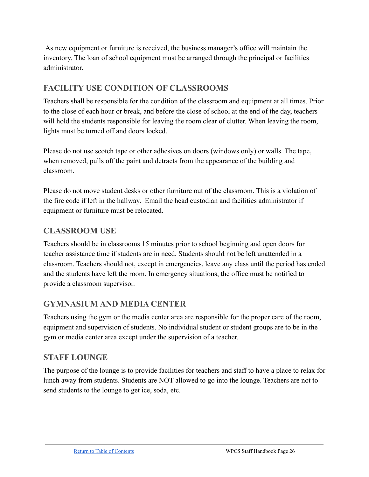As new equipment or furniture is received, the business manager's office will maintain the inventory. The loan of school equipment must be arranged through the principal or facilities administrator.

# **FACILITY USE CONDITION OF CLASSROOMS**

Teachers shall be responsible for the condition of the classroom and equipment at all times. Prior to the close of each hour or break, and before the close of school at the end of the day, teachers will hold the students responsible for leaving the room clear of clutter. When leaving the room, lights must be turned off and doors locked.

Please do not use scotch tape or other adhesives on doors (windows only) or walls. The tape, when removed, pulls off the paint and detracts from the appearance of the building and classroom.

Please do not move student desks or other furniture out of the classroom. This is a violation of the fire code if left in the hallway. Email the head custodian and facilities administrator if equipment or furniture must be relocated.

# **CLASSROOM USE**

Teachers should be in classrooms 15 minutes prior to school beginning and open doors for teacher assistance time if students are in need. Students should not be left unattended in a classroom. Teachers should not, except in emergencies, leave any class until the period has ended and the students have left the room. In emergency situations, the office must be notified to provide a classroom supervisor.

# **GYMNASIUM AND MEDIA CENTER**

Teachers using the gym or the media center area are responsible for the proper care of the room, equipment and supervision of students. No individual student or student groups are to be in the gym or media center area except under the supervision of a teacher.

# **STAFF LOUNGE**

The purpose of the lounge is to provide facilities for teachers and staff to have a place to relax for lunch away from students. Students are NOT allowed to go into the lounge. Teachers are not to send students to the lounge to get ice, soda, etc.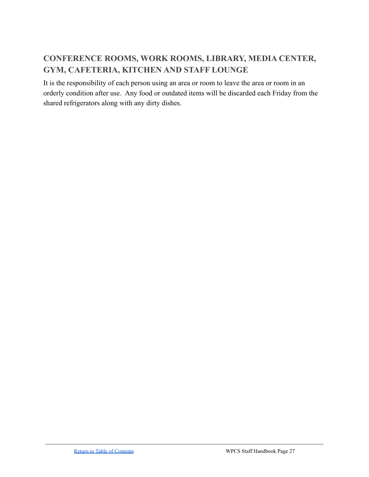# **CONFERENCE ROOMS, WORK ROOMS, LIBRARY, MEDIA CENTER, GYM, CAFETERIA, KITCHEN AND STAFF LOUNGE**

It is the responsibility of each person using an area or room to leave the area or room in an orderly condition after use. Any food or outdated items will be discarded each Friday from the shared refrigerators along with any dirty dishes.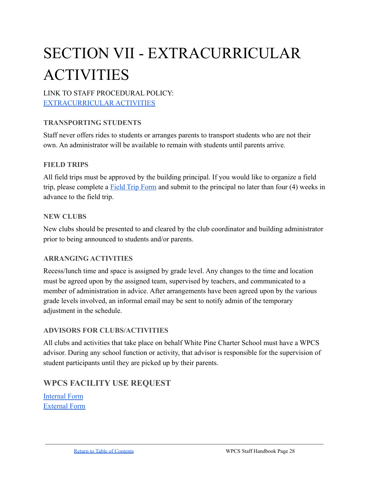# <span id="page-27-0"></span>SECTION VII - EXTRACURRICULAR ACTIVITIES

# LINK TO STAFF PROCEDURAL POLICY: [EXTRACURRICULAR ACTIVITIES](https://docs.google.com/document/d/1aOX1DjJLO9VNTfuy5jIMp95EOBmCx_lUsVOxnqSyeIM/edit#heading=h.zf9xuoemkta)

# **TRANSPORTING STUDENTS**

Staff never offers rides to students or arranges parents to transport students who are not their own. An administrator will be available to remain with students until parents arrive.

#### **FIELD TRIPS**

All field trips must be approved by the building principal. If you would like to organize a field trip, please complete a [Field Trip Form](https://drive.google.com/file/d/17HxAl5uyHpBcKjwEdiZavva8jtaNitNF/view?usp=sharing) and submit to the principal no later than four (4) weeks in advance to the field trip.

#### **NEW CLUBS**

New clubs should be presented to and cleared by the club coordinator and building administrator prior to being announced to students and/or parents.

# **ARRANGING ACTIVITIES**

Recess/lunch time and space is assigned by grade level. Any changes to the time and location must be agreed upon by the assigned team, supervised by teachers, and communicated to a member of administration in advice. After arrangements have been agreed upon by the various grade levels involved, an informal email may be sent to notify admin of the temporary adjustment in the schedule.

# **ADVISORS FOR CLUBS/ACTIVITIES**

All clubs and activities that take place on behalf White Pine Charter School must have a WPCS advisor. During any school function or activity, that advisor is responsible for the supervision of student participants until they are picked up by their parents.

# **WPCS FACILITY USE REQUEST**

[Internal Form](https://docs.google.com/document/u/0/d/1sI0EEICf8Q0Zy0dLjp3cYKHWqC568GEKnXYaDIEGokA/edit) [External Form](https://docs.google.com/document/u/0/d/1iZu_NJSjZz_X4BIGY37BSagt5CR0G-X7Q0uBuauWnjs/edit)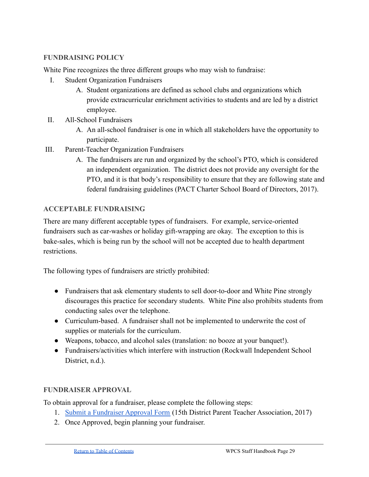#### **FUNDRAISING POLICY**

White Pine recognizes the three different groups who may wish to fundraise:

- I. Student Organization Fundraisers
	- A. Student organizations are defined as school clubs and organizations which provide extracurricular enrichment activities to students and are led by a district employee.
- II. All-School Fundraisers
	- A. An all-school fundraiser is one in which all stakeholders have the opportunity to participate.
- III. Parent-Teacher Organization Fundraisers
	- A. The fundraisers are run and organized by the school's PTO, which is considered an independent organization. The district does not provide any oversight for the PTO, and it is that body's responsibility to ensure that they are following state and federal fundraising guidelines (PACT Charter School Board of Directors, 2017).

#### **ACCEPTABLE FUNDRAISING**

There are many different acceptable types of fundraisers. For example, service-oriented fundraisers such as car-washes or holiday gift-wrapping are okay. The exception to this is bake-sales, which is being run by the school will not be accepted due to health department restrictions.

The following types of fundraisers are strictly prohibited:

- Fundraisers that ask elementary students to sell door-to-door and White Pine strongly discourages this practice for secondary students. White Pine also prohibits students from conducting sales over the telephone.
- Curriculum-based. A fundraiser shall not be implemented to underwrite the cost of supplies or materials for the curriculum.
- Weapons, tobacco, and alcohol sales (translation: no booze at your banquet!).
- Fundraisers/activities which interfere with instruction (Rockwall Independent School District, n.d.).

# **FUNDRAISER APPROVAL**

To obtain approval for a fundraiser, please complete the following steps:

- 1. [Submit a Fundraiser Approval Form](https://docs.google.com/document/d/16pi5NwZN9QqnxEwGdrgoMxQBz4FMclhdrsI4H9fxCPM/preview) (15th District Parent Teacher Association, 2017)
- 2. Once Approved, begin planning your fundraiser.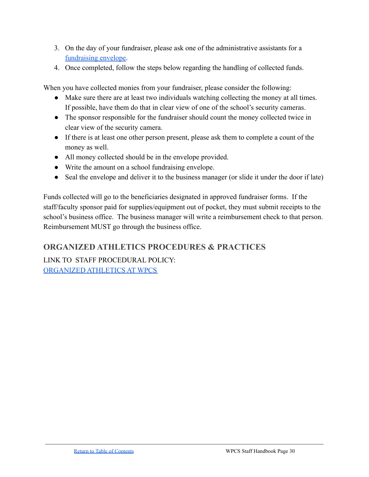- 3. On the day of your fundraiser, please ask one of the administrative assistants for a [fundraising envelope.](https://docs.google.com/document/d/1gQXh7PiEklAh4VzXbC5cqZc8Oiqm4aPdMlDJ3BmKrOY/edit?usp=sharing)
- 4. Once completed, follow the steps below regarding the handling of collected funds.

When you have collected monies from your fundraiser, please consider the following:

- Make sure there are at least two individuals watching collecting the money at all times. If possible, have them do that in clear view of one of the school's security cameras.
- The sponsor responsible for the fundraiser should count the money collected twice in clear view of the security camera.
- If there is at least one other person present, please ask them to complete a count of the money as well.
- All money collected should be in the envelope provided.
- Write the amount on a school fundraising envelope.
- Seal the envelope and deliver it to the business manager (or slide it under the door if late)

Funds collected will go to the beneficiaries designated in approved fundraiser forms. If the staff/faculty sponsor paid for supplies/equipment out of pocket, they must submit receipts to the school's business office. The business manager will write a reimbursement check to that person. Reimbursement MUST go through the business office.

# **ORGANIZED ATHLETICS PROCEDURES & PRACTICES**

LINK TO STAFF PROCEDURAL POLICY: [ORGANIZED ATHLETICS AT](https://docs.google.com/document/d/128wXcyP1GOm2mokDjKH-ipqVMso645gAn2clY0SJLN4/edit#heading=h.nqosn6i0shri) WPCS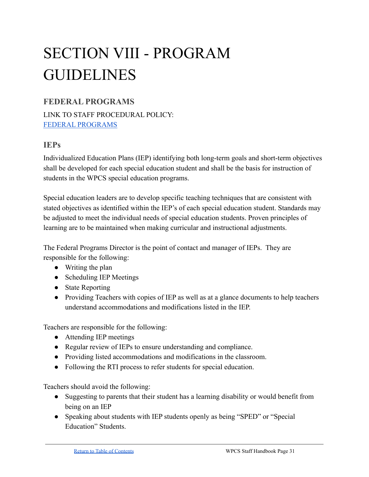# <span id="page-30-0"></span>SECTION VIII - PROGRAM GUIDELINES

# **FEDERAL PROGRAMS**

LINK TO STAFF PROCEDURAL POLICY: [FEDERAL PROGRAMS](https://docs.google.com/document/d/1RhQYrdgOQLM_3IJXe-NEvFpPJtt0H5wWQy4Iz8SZiDc/edit)

# **IEPs**

Individualized Education Plans (IEP) identifying both long-term goals and short-term objectives shall be developed for each special education student and shall be the basis for instruction of students in the WPCS special education programs.

Special education leaders are to develop specific teaching techniques that are consistent with stated objectives as identified within the IEP's of each special education student. Standards may be adjusted to meet the individual needs of special education students. Proven principles of learning are to be maintained when making curricular and instructional adjustments.

The Federal Programs Director is the point of contact and manager of IEPs. They are responsible for the following:

- Writing the plan
- Scheduling IEP Meetings
- State Reporting
- Providing Teachers with copies of IEP as well as at a glance documents to help teachers understand accommodations and modifications listed in the IEP.

Teachers are responsible for the following:

- Attending IEP meetings
- Regular review of IEPs to ensure understanding and compliance.
- Providing listed accommodations and modifications in the classroom.
- Following the RTI process to refer students for special education.

Teachers should avoid the following:

- Suggesting to parents that their student has a learning disability or would benefit from being on an IEP
- Speaking about students with IEP students openly as being "SPED" or "Special Education" Students.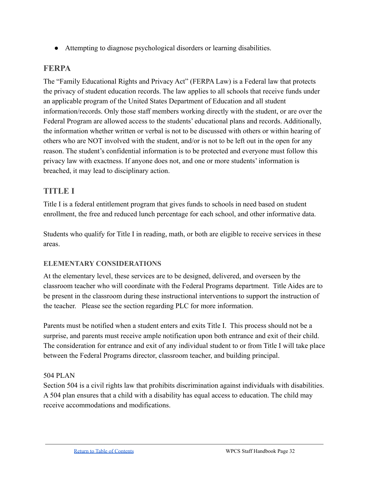● Attempting to diagnose psychological disorders or learning disabilities.

# <span id="page-31-0"></span>**FERPA**

The "Family Educational Rights and Privacy Act" (FERPA Law) is a Federal law that protects the privacy of student education records. The law applies to all schools that receive funds under an applicable program of the United States Department of Education and all student information/records. Only those staff members working directly with the student, or are over the Federal Program are allowed access to the students' educational plans and records. Additionally, the information whether written or verbal is not to be discussed with others or within hearing of others who are NOT involved with the student, and/or is not to be left out in the open for any reason. The student's confidential information is to be protected and everyone must follow this privacy law with exactness. If anyone does not, and one or more students' information is breached, it may lead to disciplinary action.

# **TITLE I**

Title I is a federal entitlement program that gives funds to schools in need based on student enrollment, the free and reduced lunch percentage for each school, and other informative data.

Students who qualify for Title I in reading, math, or both are eligible to receive services in these areas.

# **ELEMENTARY CONSIDERATIONS**

At the elementary level, these services are to be designed, delivered, and overseen by the classroom teacher who will coordinate with the Federal Programs department. Title Aides are to be present in the classroom during these instructional interventions to support the instruction of the teacher. Please see the section regarding PLC for more information.

Parents must be notified when a student enters and exits Title I. This process should not be a surprise, and parents must receive ample notification upon both entrance and exit of their child. The consideration for entrance and exit of any individual student to or from Title I will take place between the Federal Programs director, classroom teacher, and building principal.

# 504 PLAN

Section 504 is a civil rights law that prohibits discrimination against individuals with disabilities. A 504 plan ensures that a child with a disability has equal access to education. The child may receive accommodations and modifications.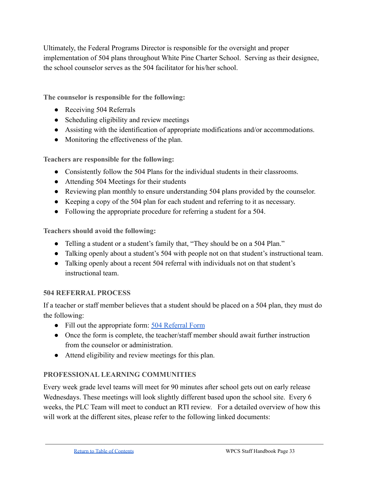Ultimately, the Federal Programs Director is responsible for the oversight and proper implementation of 504 plans throughout White Pine Charter School. Serving as their designee, the school counselor serves as the 504 facilitator for his/her school.

**The counselor is responsible for the following:**

- Receiving 504 Referrals
- Scheduling eligibility and review meetings
- Assisting with the identification of appropriate modifications and/or accommodations.
- Monitoring the effectiveness of the plan.

**Teachers are responsible for the following:**

- Consistently follow the 504 Plans for the individual students in their classrooms.
- Attending 504 Meetings for their students
- Reviewing plan monthly to ensure understanding 504 plans provided by the counselor.
- Keeping a copy of the 504 plan for each student and referring to it as necessary.
- Following the appropriate procedure for referring a student for a 504.

**Teachers should avoid the following:**

- Telling a student or a student's family that, "They should be on a 504 Plan."
- Talking openly about a student's 504 with people not on that student's instructional team.
- Talking openly about a recent 504 referral with individuals not on that student's instructional team.

# **504 REFERRAL PROCESS**

If a teacher or staff member believes that a student should be placed on a 504 plan, they must do the following:

- Fill out the appropriate form: [504 Referral Form](https://drive.google.com/file/d/18XoQGNb0iiQAwA-NMkDi5BREjcG8BImQ/view?usp=sharing)
- Once the form is complete, the teacher/staff member should await further instruction from the counselor or administration.
- Attend eligibility and review meetings for this plan.

# **PROFESSIONAL LEARNING COMMUNITIES**

Every week grade level teams will meet for 90 minutes after school gets out on early release Wednesdays. These meetings will look slightly different based upon the school site. Every 6 weeks, the PLC Team will meet to conduct an RTI review. For a detailed overview of how this will work at the different sites, please refer to the following linked documents: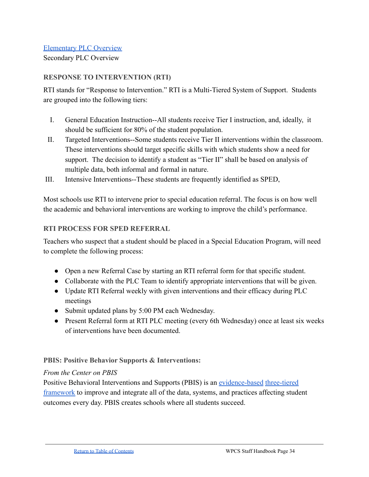#### [Elementary PLC Overview](https://docs.google.com/document/d/1HnklcbDJ7jzHvomGIRfotMJWGOTasAwJrZSthpAIgDo/preview)

Secondary PLC Overview

#### **RESPONSE TO INTERVENTION (RTI)**

RTI stands for "Response to Intervention." RTI is a Multi-Tiered System of Support. Students are grouped into the following tiers:

- I. General Education Instruction--All students receive Tier I instruction, and, ideally, it should be sufficient for 80% of the student population.
- II. Targeted Interventions--Some students receive Tier II interventions within the classroom. These interventions should target specific skills with which students show a need for support. The decision to identify a student as "Tier II" shall be based on analysis of multiple data, both informal and formal in nature.
- III. Intensive Interventions--These students are frequently identified as SPED,

Most schools use RTI to intervene prior to special education referral. The focus is on how well the academic and behavioral interventions are working to improve the child's performance.

#### **RTI PROCESS FOR SPED REFERRAL**

Teachers who suspect that a student should be placed in a Special Education Program, will need to complete the following process:

- Open a new Referral Case by starting an RTI referral form for that specific student.
- Collaborate with the PLC Team to identify appropriate interventions that will be given.
- Update RTI Referral weekly with given interventions and their efficacy during PLC meetings
- Submit updated plans by 5:00 PM each Wednesday.
- Present Referral form at RTI PLC meeting (every 6th Wednesday) once at least six weeks of interventions have been documented.

#### **PBIS: Positive Behavior Supports & Interventions:**

#### *From the Center on PBIS*

Positive Behavioral Interventions and Supports (PBIS) is an [evidence-based](https://www.pbis.org/resource/examining-the-evidence-base-for-school-wide-positive-behavior-support) [three-tiered](https://www.pbis.org/pbis/tiered-framework) [framework](https://www.pbis.org/pbis/tiered-framework) to improve and integrate all of the data, systems, and practices affecting student outcomes every day. PBIS creates schools where all students succeed.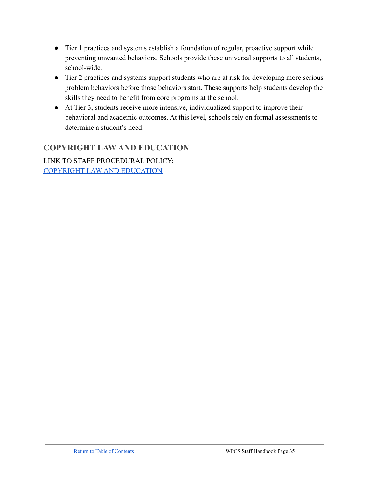- Tier 1 practices and systems establish a foundation of regular, proactive support while preventing unwanted behaviors. Schools provide these universal supports to all students, school-wide.
- Tier 2 practices and systems support students who are at risk for developing more serious problem behaviors before those behaviors start. These supports help students develop the skills they need to benefit from core programs at the school.
- At Tier 3, students receive more intensive, individualized support to improve their behavioral and academic outcomes. At this level, schools rely on formal assessments to determine a student's need.

# **COPYRIGHT LAW AND EDUCATION**

LINK TO STAFF PROCEDURAL POLICY: [COPYRIGHT LAW](https://docs.google.com/document/d/1foryoMGIauMfAcnzr0qu1QjZY2Vm8BmEoO4zNqeOtOE/edit#) AND EDUCATION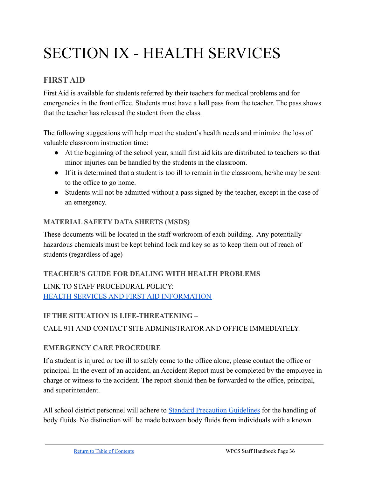# <span id="page-35-0"></span>SECTION IX - HEALTH SERVICES

# **FIRST AID**

First Aid is available for students referred by their teachers for medical problems and for emergencies in the front office. Students must have a hall pass from the teacher. The pass shows that the teacher has released the student from the class.

The following suggestions will help meet the student's health needs and minimize the loss of valuable classroom instruction time:

- At the beginning of the school year, small first aid kits are distributed to teachers so that minor injuries can be handled by the students in the classroom.
- If it is determined that a student is too ill to remain in the classroom, he/she may be sent to the office to go home.
- Students will not be admitted without a pass signed by the teacher, except in the case of an emergency.

# **MATERIAL SAFETY DATA SHEETS (MSDS)**

These documents will be located in the staff workroom of each building. Any potentially hazardous chemicals must be kept behind lock and key so as to keep them out of reach of students (regardless of age)

**TEACHER'S GUIDE FOR DEALING WITH HEALTH PROBLEMS** LINK TO STAFF PROCEDURAL POLICY: [HEALTH SERVICES AND FIRST](https://docs.google.com/document/d/1DI59tqbUVooCvQiUVQBUtiIvosNqxKstxR4dfdDi9CM/edit) AID INFORMATION

# **IF THE SITUATION IS LIFE-THREATENING –** CALL 911 AND CONTACT SITE ADMINISTRATOR AND OFFICE IMMEDIATELY.

# **EMERGENCY CARE PROCEDURE**

If a student is injured or too ill to safely come to the office alone, please contact the office or principal. In the event of an accident, an Accident Report must be completed by the employee in charge or witness to the accident. The report should then be forwarded to the office, principal, and superintendent.

All school district personnel will adhere to Standard [Precaution Guidelines](https://www.who.int/docs/default-source/documents/health-topics/standard-precautions-in-health-care.pdf?sfvrsn=7c453df0_2) for the handling of body fluids. No distinction will be made between body fluids from individuals with a known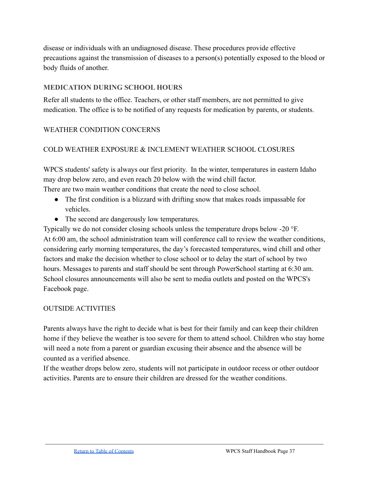disease or individuals with an undiagnosed disease. These procedures provide effective precautions against the transmission of diseases to a person(s) potentially exposed to the blood or body fluids of another.

# **MEDICATION DURING SCHOOL HOURS**

Refer all students to the office. Teachers, or other staff members, are not permitted to give medication. The office is to be notified of any requests for medication by parents, or students.

# WEATHER CONDITION CONCERNS

# COLD WEATHER EXPOSURE & INCLEMENT WEATHER SCHOOL CLOSURES

WPCS students' safety is always our first priority. In the winter, temperatures in eastern Idaho may drop below zero, and even reach 20 below with the wind chill factor. There are two main weather conditions that create the need to close school.

- The first condition is a blizzard with drifting snow that makes roads impassable for vehicles.
- The second are dangerously low temperatures.

Typically we do not consider closing schools unless the temperature drops below -20 °F. At 6:00 am, the school administration team will conference call to review the weather conditions, considering early morning temperatures, the day's forecasted temperatures, wind chill and other factors and make the decision whether to close school or to delay the start of school by two hours. Messages to parents and staff should be sent through PowerSchool starting at 6:30 am. School closures announcements will also be sent to media outlets and posted on the WPCS's Facebook page.

# OUTSIDE ACTIVITIES

Parents always have the right to decide what is best for their family and can keep their children home if they believe the weather is too severe for them to attend school. Children who stay home will need a note from a parent or guardian excusing their absence and the absence will be counted as a verified absence.

If the weather drops below zero, students will not participate in outdoor recess or other outdoor activities. Parents are to ensure their children are dressed for the weather conditions.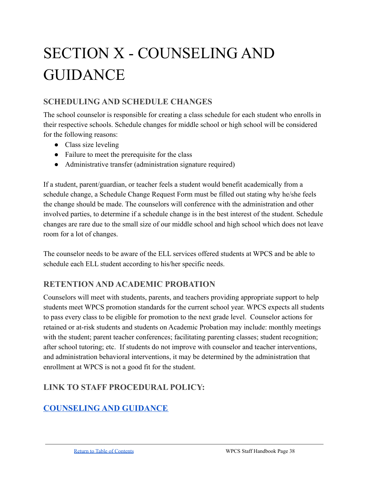# <span id="page-37-0"></span>SECTION X - COUNSELING AND GUIDANCE

# **SCHEDULING AND SCHEDULE CHANGES**

The school counselor is responsible for creating a class schedule for each student who enrolls in their respective schools. Schedule changes for middle school or high school will be considered for the following reasons:

- Class size leveling
- Failure to meet the prerequisite for the class
- Administrative transfer (administration signature required)

If a student, parent/guardian, or teacher feels a student would benefit academically from a schedule change, a Schedule Change Request Form must be filled out stating why he/she feels the change should be made. The counselors will conference with the administration and other involved parties, to determine if a schedule change is in the best interest of the student. Schedule changes are rare due to the small size of our middle school and high school which does not leave room for a lot of changes.

The counselor needs to be aware of the ELL services offered students at WPCS and be able to schedule each ELL student according to his/her specific needs.

# **RETENTION AND ACADEMIC PROBATION**

Counselors will meet with students, parents, and teachers providing appropriate support to help students meet WPCS promotion standards for the current school year. WPCS expects all students to pass every class to be eligible for promotion to the next grade level. Counselor actions for retained or at-risk students and students on Academic Probation may include: monthly meetings with the student; parent teacher conferences; facilitating parenting classes; student recognition; after school tutoring; etc. If students do not improve with counselor and teacher interventions, and administration behavioral interventions, it may be determined by the administration that enrollment at WPCS is not a good fit for the student.

# **LINK TO STAFF PROCEDURAL POLICY:**

# **[COUNSELING](https://docs.google.com/document/d/1Np-4bYYFD_OmjUDbCONsIbgHJrGyzGVrABq7XI1c5P4/edit#heading=h.el9fy9us3npc) AND GUIDANCE**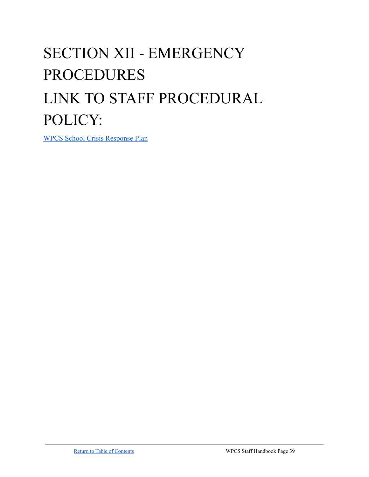# <span id="page-38-0"></span>SECTION XII - EMERGENCY PROCEDURES LINK TO STAFF PROCEDURAL POLICY:

[WPCS School Crisis Response Plan](https://docs.google.com/document/d/16rtBy7DlsPFEn4xHmPUqy18ArlGSArDm/edit?usp=sharing&ouid=111657118814523302566&rtpof=true&sd=true)